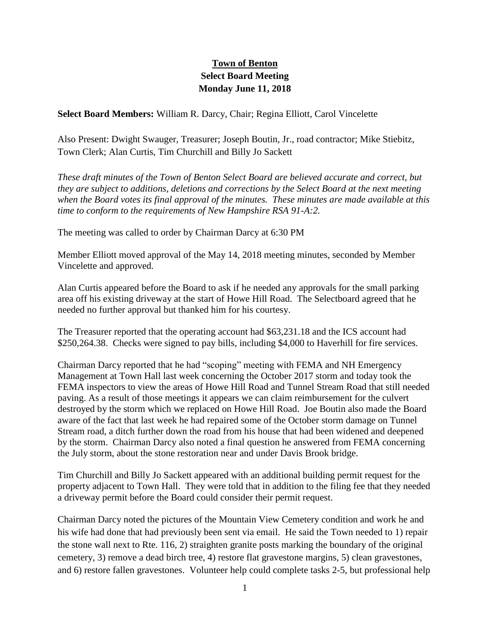## **Town of Benton Select Board Meeting Monday June 11, 2018**

**Select Board Members:** William R. Darcy, Chair; Regina Elliott, Carol Vincelette

Also Present: Dwight Swauger, Treasurer; Joseph Boutin, Jr., road contractor; Mike Stiebitz, Town Clerk; Alan Curtis, Tim Churchill and Billy Jo Sackett

*These draft minutes of the Town of Benton Select Board are believed accurate and correct, but they are subject to additions, deletions and corrections by the Select Board at the next meeting when the Board votes its final approval of the minutes. These minutes are made available at this time to conform to the requirements of New Hampshire RSA 91-A:2.*

The meeting was called to order by Chairman Darcy at 6:30 PM

Member Elliott moved approval of the May 14, 2018 meeting minutes, seconded by Member Vincelette and approved.

Alan Curtis appeared before the Board to ask if he needed any approvals for the small parking area off his existing driveway at the start of Howe Hill Road. The Selectboard agreed that he needed no further approval but thanked him for his courtesy.

The Treasurer reported that the operating account had \$63,231.18 and the ICS account had \$250,264.38. Checks were signed to pay bills, including \$4,000 to Haverhill for fire services.

Chairman Darcy reported that he had "scoping" meeting with FEMA and NH Emergency Management at Town Hall last week concerning the October 2017 storm and today took the FEMA inspectors to view the areas of Howe Hill Road and Tunnel Stream Road that still needed paving. As a result of those meetings it appears we can claim reimbursement for the culvert destroyed by the storm which we replaced on Howe Hill Road. Joe Boutin also made the Board aware of the fact that last week he had repaired some of the October storm damage on Tunnel Stream road, a ditch further down the road from his house that had been widened and deepened by the storm. Chairman Darcy also noted a final question he answered from FEMA concerning the July storm, about the stone restoration near and under Davis Brook bridge.

Tim Churchill and Billy Jo Sackett appeared with an additional building permit request for the property adjacent to Town Hall. They were told that in addition to the filing fee that they needed a driveway permit before the Board could consider their permit request.

Chairman Darcy noted the pictures of the Mountain View Cemetery condition and work he and his wife had done that had previously been sent via email. He said the Town needed to 1) repair the stone wall next to Rte. 116, 2) straighten granite posts marking the boundary of the original cemetery, 3) remove a dead birch tree, 4) restore flat gravestone margins, 5) clean gravestones, and 6) restore fallen gravestones. Volunteer help could complete tasks 2-5, but professional help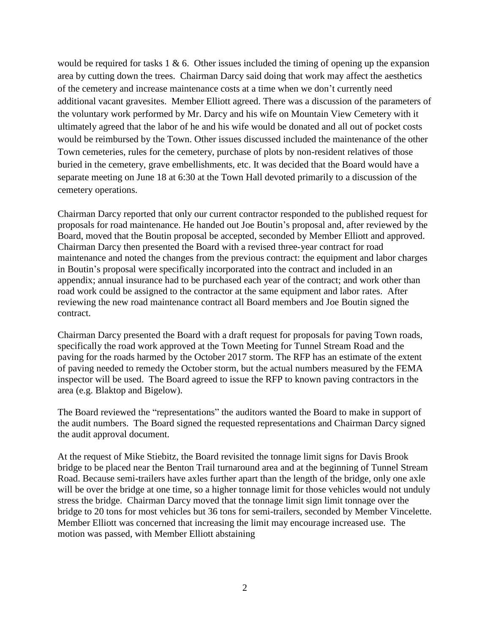would be required for tasks 1  $\&$  6. Other issues included the timing of opening up the expansion area by cutting down the trees. Chairman Darcy said doing that work may affect the aesthetics of the cemetery and increase maintenance costs at a time when we don't currently need additional vacant gravesites. Member Elliott agreed. There was a discussion of the parameters of the voluntary work performed by Mr. Darcy and his wife on Mountain View Cemetery with it ultimately agreed that the labor of he and his wife would be donated and all out of pocket costs would be reimbursed by the Town. Other issues discussed included the maintenance of the other Town cemeteries, rules for the cemetery, purchase of plots by non-resident relatives of those buried in the cemetery, grave embellishments, etc. It was decided that the Board would have a separate meeting on June 18 at 6:30 at the Town Hall devoted primarily to a discussion of the cemetery operations.

Chairman Darcy reported that only our current contractor responded to the published request for proposals for road maintenance. He handed out Joe Boutin's proposal and, after reviewed by the Board, moved that the Boutin proposal be accepted, seconded by Member Elliott and approved. Chairman Darcy then presented the Board with a revised three-year contract for road maintenance and noted the changes from the previous contract: the equipment and labor charges in Boutin's proposal were specifically incorporated into the contract and included in an appendix; annual insurance had to be purchased each year of the contract; and work other than road work could be assigned to the contractor at the same equipment and labor rates. After reviewing the new road maintenance contract all Board members and Joe Boutin signed the contract.

Chairman Darcy presented the Board with a draft request for proposals for paving Town roads, specifically the road work approved at the Town Meeting for Tunnel Stream Road and the paving for the roads harmed by the October 2017 storm. The RFP has an estimate of the extent of paving needed to remedy the October storm, but the actual numbers measured by the FEMA inspector will be used. The Board agreed to issue the RFP to known paving contractors in the area (e.g. Blaktop and Bigelow).

The Board reviewed the "representations" the auditors wanted the Board to make in support of the audit numbers. The Board signed the requested representations and Chairman Darcy signed the audit approval document.

At the request of Mike Stiebitz, the Board revisited the tonnage limit signs for Davis Brook bridge to be placed near the Benton Trail turnaround area and at the beginning of Tunnel Stream Road. Because semi-trailers have axles further apart than the length of the bridge, only one axle will be over the bridge at one time, so a higher tonnage limit for those vehicles would not unduly stress the bridge. Chairman Darcy moved that the tonnage limit sign limit tonnage over the bridge to 20 tons for most vehicles but 36 tons for semi-trailers, seconded by Member Vincelette. Member Elliott was concerned that increasing the limit may encourage increased use. The motion was passed, with Member Elliott abstaining